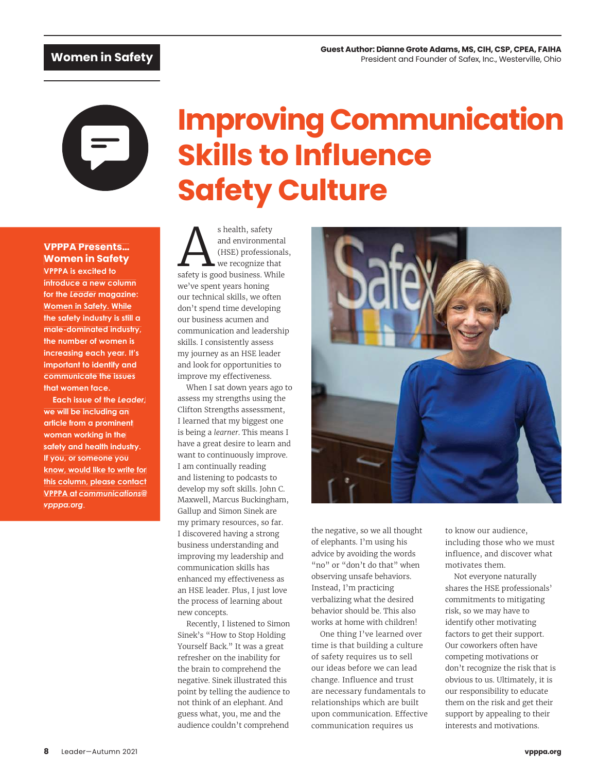# **Improving Communication Skills to Influence Safety Culture**

## **VPPPA Presents… Women in Safety**

**VPPPA is excited to introduce a new column for the** *Leader* **magazine: Women in Safety. While the safety industry is still a male-dominated industry, the number of women is increasing each year. It's important to identify and communicate the issues that women face.**

**Each issue of the** *Leader,* **we will be including an article from a prominent woman working in the safety and health industry. If you, or someone you know, would like to write for this column, please contact VPPPA at** *communications@ vpppa.org*.

s health, safety<br>
and environmental<br>
(HSE) professionals<br>
safety is good business. While s health, safety and environmental (HSE) professionals, we recognize that we've spent years honing our technical skills, we often don't spend time developing our business acumen and communication and leadership skills. I consistently assess my journey as an HSE leader and look for opportunities to improve my effectiveness.

When I sat down years ago to assess my strengths using the Clifton Strengths assessment, I learned that my biggest one is being a *learner*. This means I have a great desire to learn and want to continuously improve. I am continually reading and listening to podcasts to develop my soft skills. John C. Maxwell, Marcus Buckingham, Gallup and Simon Sinek are my primary resources, so far. I discovered having a strong business understanding and improving my leadership and communication skills has enhanced my effectiveness as an HSE leader. Plus, I just love the process of learning about new concepts.

Recently, I listened to Simon Sinek's "How to Stop Holding Yourself Back." It was a great refresher on the inability for the brain to comprehend the negative. Sinek illustrated this point by telling the audience to not think of an elephant. And guess what, you, me and the audience couldn't comprehend



the negative, so we all thought of elephants. I'm using his advice by avoiding the words "no" or "don't do that" when observing unsafe behaviors. Instead, I'm practicing verbalizing what the desired behavior should be. This also works at home with children!

One thing I've learned over time is that building a culture of safety requires us to sell our ideas before we can lead change. Influence and trust are necessary fundamentals to relationships which are built upon communication. Effective communication requires us

to know our audience, including those who we must influence, and discover what motivates them.

Not everyone naturally shares the HSE professionals' commitments to mitigating risk, so we may have to identify other motivating factors to get their support. Our coworkers often have competing motivations or don't recognize the risk that is obvious to us. Ultimately, it is our responsibility to educate them on the risk and get their support by appealing to their interests and motivations.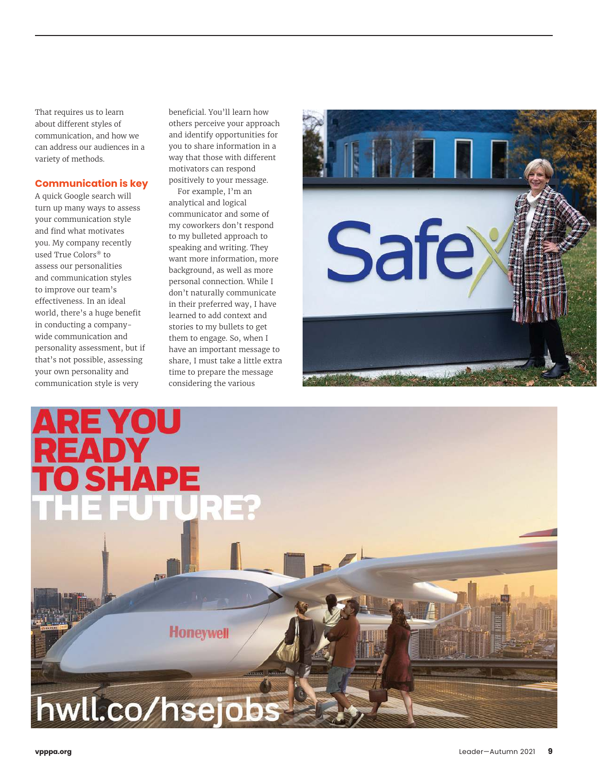That requires us to learn about different styles of communication, and how we can address our audiences in a variety of methods.

#### **Communication is key**

A quick Google search will turn up many ways to assess your communication style and find what motivates you. My company recently used True Colors® to assess our personalities and communication styles to improve our team's effectiveness. In an ideal world, there's a huge benefit in conducting a companywide communication and personality assessment, but if that's not possible, assessing your own personality and communication style is very

beneĥcial. You'll learn how others perceive your approach and identify opportunities for you to share information in a way that those with different motivators can respond positively to your message.

For example, I'm an analytical and logical communicator and some of my coworkers don't respond to my bulleted approach to speaking and writing. They want more information, more background, as well as more personal connection. While I don't naturally communicate in their preferred way, I have learned to add context and stories to my bullets to get them to engage. So, when I have an important message to share, I must take a little extra time to prepare the message considering the various